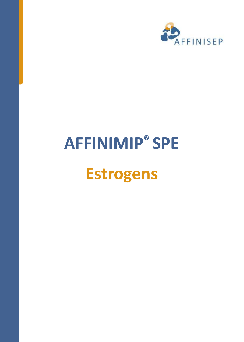

# **AFFINIMIP® SPE Estrogens**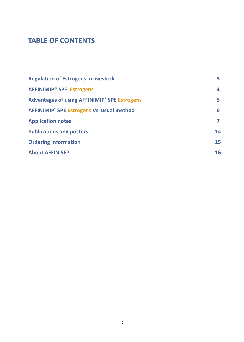# **TABLE OF CONTENTS**

| <b>Regulation of Estrogens in livestock</b>                | З. |
|------------------------------------------------------------|----|
| <b>AFFINIMIP<sup>®</sup> SPE Estrogens</b>                 | 4  |
| <b>Advantages of using AFFINIMIP® SPE Estrogens</b>        | 5. |
| <b>AFFINIMIP<sup>®</sup> SPE Estrogens Vs usual method</b> | 6  |
| <b>Application notes</b>                                   | 7  |
| <b>Publications and posters</b>                            | 14 |
| <b>Ordering information</b>                                | 15 |
| <b>About AFFINISEP</b>                                     | 16 |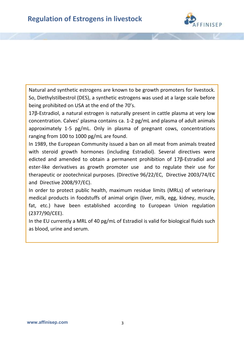

Natural and synthetic estrogens are known to be growth promoters for livestock. So, Diethylstilbestrol (DES), a synthetic estrogens was used at a large scale before being prohibited on USA at the end of the 70's.

17β-Estradiol, a natural estrogen is naturally present in cattle plasma at very low concentration. Calves' plasma contains ca. 1-2 pg/mL and plasma of adult animals approximately 1-5 pg/mL. Only in plasma of pregnant cows, concentrations ranging from 100 to 1000 pg/mL are found.

In 1989, the European Community issued a ban on all meat from animals treated with steroid growth hormones (including Estradiol). Several directives were edicted and amended to obtain a permanent prohibition of 17β-Estradiol and ester-like derivatives as growth promoter use and to regulate their use for therapeutic or zootechnical purposes. (Directive 96/22/EC, Directive 2003/74/EC and Directive 2008/97/EC).

In order to protect public health, maximum residue limits (MRLs) of veterinary medical products in foodstuffs of animal origin (liver, milk, egg, kidney, muscle, fat, etc.) have been established according to European Union regulation (2377/90/CEE).

In the EU currently a MRL of 40 pg/mL of Estradiol is valid for biological fluids such as blood, urine and serum.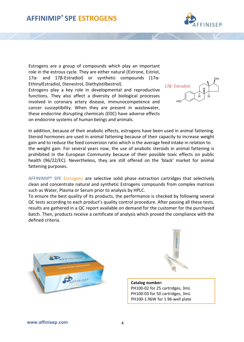

Estrogens are a group of compounds which play an important role in the estrous cycle. They are either natural (Estrone, Estriol, 17α- and 17β-Estradiol) or synthetic compounds (17α-EthinylEstradiol, Dienestrol, Diethylstilbestrol).

Estrogens play a key role in developmental and reproductive functions. They also affect a diversity of biological processes involved in coronary artery disease, immunocompetence and cancer susceptibility. When they are present in wastewater, these endocrine disrupting chemicals (EDC) have adverse effects on endocrine systems of human beings and animals.



In addition, because of their anabolic effects, estrogens have been used in animal fattening. Steroid hormones are used in animal fattening because of their capacity to increase weight gain and to reduce the feed conversion ratio which is the average feed intake in relation to the weight gain. For several years now, the use of anabolic steroids in animal fattening is prohibited in the European Community because of their possible toxic effects on public health (96/22/EC). Nevertheless, they are still offered on the 'black' market for animal fattening purposes.

AFFINIMIP® SPE Estrogens are selective solid phase extraction cartridges that selectively clean and concentrate natural and synthetic Estrogens compounds from complex matrices such as Water, Plasma or Serum prior to analysis by HPLC.

To ensure the best quality of its products, the performance is checked by following several QC tests according to each product's quality control procedure. After passing all these tests, results are gathered in a QC report available on demand for the customer for the purchased batch. Then, products receive a certificate of analysis which proved the compliance with the defined criteria.





**Catalog number:** PH100-02 for 25 cartridges, 3mL PH100-03 for 50 cartridges, 3mL PH100-1.96W for 1 96-well plate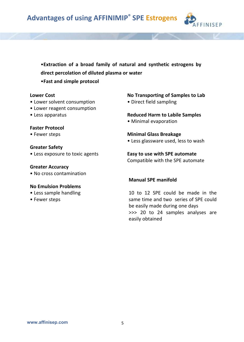

•**Extraction of a broad family of natural and synthetic estrogens by direct percolation of diluted plasma or water**

•**Fast and simple protocol**

#### **Lower Cost**

- Lower solvent consumption
- Lower reagent consumption
- Less apparatus

#### **Faster Protocol**

• Fewer steps

#### **Greater Safety**

• Less exposure to toxic agents

#### **Greater Accuracy**

• No cross contamination

#### **No Emulsion Problems**

- Less sample handling
- Fewer steps

#### **No Transporting of Samples to Lab**

• Direct field sampling

#### **Reduced Harm to Labile Samples**

• Minimal evaporation

#### **Minimal Glass Breakage**

• Less glassware used, less to wash

#### **Easy to use with SPE automate**

Compatible with the SPE automate

#### **Manual SPE manifold**

10 to 12 SPE could be made in the same time and two series of SPE could be easily made during one days >>> 20 to 24 samples analyses are easily obtained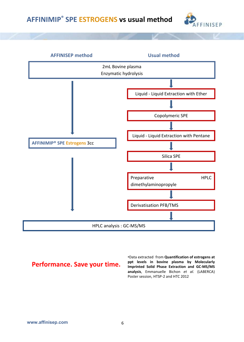# **AFFINIMIP® SPE ESTROGENS vs usual method**





# **Performance. Save your time.**

•Data extracted from **Quantification of estrogens at ppt levels in bovine plasma by Molecularly Imprinted Solid Phase Extraction and GC-MS/MS analysis**, Emmanuelle Bichon *et al.* (LABERCA) Poster session, HTSP-2 and HTC 2012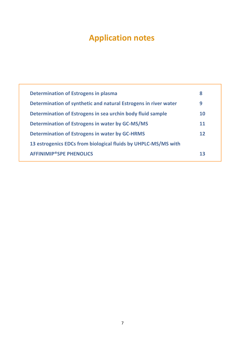# **Application notes**

| Determination of Estrogens in plasma                            | 8  |
|-----------------------------------------------------------------|----|
| Determination of synthetic and natural Estrogens in river water | 9  |
| Determination of Estrogens in sea urchin body fluid sample      | 10 |
| <b>Determination of Estrogens in water by GC-MS/MS</b>          | 11 |
| <b>Determination of Estrogens in water by GC-HRMS</b>           | 12 |
| 13 estrogenics EDCs from biological fluids by UHPLC-MS/MS with  |    |
| <b>AFFINIMIP®SPE PHENOLICS</b>                                  | 13 |
|                                                                 |    |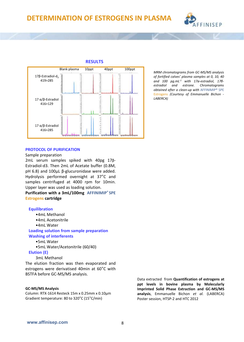

#### **RESULTS**



*MRM chromatograms from GC-MS/MS analysis of fortified calves' plasma samples at 0, 10, 40 and 100 pg.mL-1 with 17α-estradiol, 17βestradiol and estrone. Chromatograms obtained after a clean-up with* AFFINIMIP® SPE Estrogens *(Courtesy of Emmanuelle Bichon - LABERCA)*

#### **PROTOCOL OF PURIFICATION**

#### Sample preparation

2mL serum samples spiked with 40pg 17β-Estradiol-d3. Then 2mL of Acetate buffer (0.8M, pH 6.8) and 100µL β-glucuronidase were added. Hydrolysis performed overnight at 37°C and samples centrifuged at 4000 rpm for 10min. Upper layer was used as loading solution.

**Purification with a 3mL/100mg AFFINIMIP® SPE Estrogens cartridge**

#### **Equilibration**

- •4mL Methanol
- •4mL Acetonitrile
- •4mL Water

**Loading solution from sample preparation Washing of interferents**

•5mL Water

•5mL Water/Acetonitrile (60/40)

**Elution (E)**

3mL Methanol

The elution fraction was then evaporated and estrogens were derivatised 40min at 60°C with BSTFA before GC-MS/MS analysis.

#### **GC-MS/MS Analysis**

Column: RTX-1614 Resteck 15m x 0.25mm x 0.10µm Gradient temperature: 80 to 320°C (15°C/min)

Data extracted from **Quantification of estrogens at ppt levels in bovine plasma by Molecularly Imprinted Solid Phase Extraction and GC-MS/MS analysis**, Emmanuelle Bichon *et al.* (LABERCA) Poster session, HTSP-2 and HTC 2012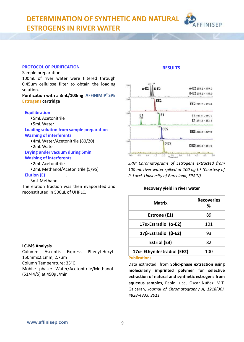**DETERMINATION OF SYNTHETIC AND NATURAL ESTROGENS IN RIVER WATER**

#### **PROTOCOL OF PURIFICATION**

#### Sample preparation

100mL of river water were filtered through 0.45µm cellulose filter to obtain the loading solution.

#### **Purification with a 3mL/100mg AFFINIMIP® SPE Estrogens cartridge**

#### **Equilibration**

- •5mL Acetonitrile
- •5mL Water

**Loading solution from sample preparation Washing of interferents**

- •4mL Water/Acetonitrile (80/20)
- •2mL Water

#### **Drying under vacuum during 5min Washing of interferents**

- •2mL Acetonitrile
- •2mL Methanol/Acetonitrile (5/95)

#### **Elution (E)**

3mL Methanol

The elution fraction was then evaporated and reconstituted in 500µL of UHPLC.

#### 100  $a-E2$  $a-E2255.2 \times 159.0$  $B-E2$  $B-E2255.2 > 159.0$  $108$ EE<sub>2</sub> EE2 279.2 > 133.0  $108$ E<sub>1</sub> E<sub>3</sub>  $E3271.2 \times 253.1$  $E1271.2 > 253.1$ DES DES 268 2 > 239 0  $108$ **DIES** DIES 266.2 > 251.0  $^{0}$  $20 \t 25 \t 30 \t 35 \t 40 \t 45 \t 50$  $0.5$ 1.0  $1.5$

**RESULTS**

**FINISEP** 

*SRM Chromatograms of Estrogens extracted from 100 mL river water spiked at 100 ng L-1 (Courtesy of P. Lucci, University of Barcelona, SPAIN)*

#### **Recovery yield in river water**

| Matrix                             | <b>Recoveries</b><br>% |
|------------------------------------|------------------------|
| Estrone (E1)                       | 89                     |
| 17α-Estradiol (α-E2)               | 101                    |
| 17β-Estradiol (β-E2)               | 93                     |
| Estriol (E3)                       | 82                     |
| $17\alpha$ -Ethynilestradiol (EE2) | 100                    |

#### **Publications**

Data extracted from **Solid-phase extraction using molecularly imprinted polymer for selective extraction of natural and synthetic estrogens from aqueous samples,** Paolo Lucci, Oscar Núñez, M.T. Galceran, *Journal of Chromatography A, 1218(30), 4828-4833, 2011*

#### **LC-MS Analysis**

Column: Ascentis Express Phenyl-Hexyl 150mmx2.1mm, 2.7µm Column Temperature: 35°C Mobile phase: Water/Acetonitrile/Methanol (51/44/5) at 450µL/min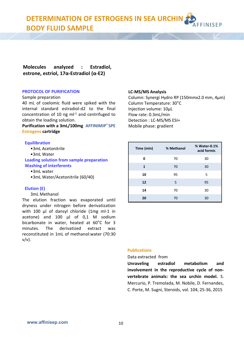**DETERMINATION OF ESTROGENS IN SEA URCHIN BODY FLUID SAMPLE**

**Molecules analyzed : Estradiol, estrone, estriol, 17α-Estradiol (α-E2)**

#### **PROTOCOL OF PURIFICATION**

#### Sample preparation

40 mL of coelomic fluid were spiked with the internal standard estradiol-d2 to the final  $concentration of 10$  ng  $ml<sup>-1</sup>$  and centrifuged to obtain the loading solution.

**Purification with a 3mL/100mg AFFINIMIP® SPE Estrogens cartridge**

#### **Equilibration**

- •3mL Acetonitrile
- •3mL Water

**Loading solution from sample preparation Washing of interferents**

- •3mL water
- •3mL Water/Acetonitrile (60/40)

#### **Elution (E)**

#### 3mL Methanol

The elution fraction was evaporated until dryness under nitrogen before derivatization with 100 μl of dansyl chloride (1mg ml-1 in acetone) and 100 μl of 0,1 M sodium bicarbonate in water, heated at 60°C for 3 minutes. The derivatized extract was reconstituted in 1mL of methanol:water (70:30 v/v).

#### **LC-MS/MS Analysis**

Column: Synergi Hydro RP (150mmx2.0 mm, 4µm) Column Temperature: 30°C Injection volume: 10µL Flow rate: 0.3mL/min Detection : LC-MS/MS ESI+ Mobile phase: gradient

**FINISED** 

| Time (min) | % Methanol | % Water-0.1%<br>acid formic |
|------------|------------|-----------------------------|
| O          | 70         | 30                          |
| 1          | 70         | 30                          |
| 10         | 95         | 5                           |
| 12         | 5          | 95                          |
| 14         | 70         | 30                          |
| 20         | 70         | 30                          |

#### **Publications**

#### Data extracted from

**Unraveling estradiol metabolism and involvement in the reproductive cycle of nonvertebrate animals: the sea urchin model.** S. Mercurio, P. Tremolada, M. Nobile, D. Fernandes, C. Porte, M. Sugni, Steroids, vol. 104, 25-36, 2015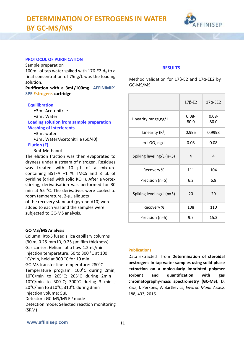

#### **PROTOCOL OF PURIFICATION**

Sample preparation

100mL of tap water spiked with  $17$ ß-E2-d<sub>2</sub> to a final concentration of 75ng/L was the loading solution.

**Purification with a 3mL/100mg AFFINIMIP® SPE Estrogens cartridge**

#### **Equilibration**

- •3mL Acetonitrile
- •3mL Water

**Loading solution from sample preparation Washing of interferents**

#### •3mL water

•3mL Water/Acetonitrile (60/40)

#### **Elution (E)**

3mL Methanol

The elution fraction was then evaporated to dryness under a stream of nitrogen. Residues was treated with 10 μL of a mixture containing BSTFA +1 % TMCS and 8 μL of pyridine (dried with solid KOH). After a vortex stirring, derivatisation was performed for 30 min at 55 °C. The derivatives were cooled to room temperature, 2-μL aliquots of the recovery standard (pyrene-d10) were added to each vial and the samples were subjected to GC-MS analysis.

#### **GC-MS/MS Analysis**

Column: Rtx-5 fused silica capillary columns (30 m, 0.25-mm ID, 0.25-μm film thickness) Gas carrier: Helium at a flow 1.2mL/min Injection temperature: 50 to 300 °C at 100 °C/min, held at 300 °C for 10 min GC-MS transfer line temperature: 280°C Temperature program: 100°C during 2min; 10°C/min to 265°C; 265°C during 2min ; 10°C/min to 300°C; 300°C during 3 min ; 20°C/min to 310°C; 310°C during 3min Injection volume: 5µL Detector: GC-MS/MS EI<sup>+</sup> mode Detection mode: Selected reaction monitoring (SRM)

#### **RESULTS**

Method validation for 17β-E2 and 17α-EE2 by GC-MS/MS

|                          | $17\beta$ -E2    | $17\alpha$ -EE2  |
|--------------------------|------------------|------------------|
| Linearity range, ng/L    | $0.08 -$<br>80.0 | $0.08 -$<br>80.0 |
| Linearity $(R^2)$        | 0.995            | 0.9998           |
| m-LOQ, ng/L              | 0.08             | 0.08             |
| Spiking level ng/L (n=5) | 4                | 4                |
| Recovery %               | 111              | 104              |
| Precision (n=5)          | 6.2              | 6.8              |
| Spiking level ng/L (n=5) | 20               | 20               |
| Recovery %               | 108              | 110              |
| Precision (n=5)          | 9.7              | 15.3             |

#### **Publications**

Data extracted from **Determination of steroidal oestrogens in tap water samples using solid-phase extraction on a molecularly imprinted polymer sorbent and quantification with gas chromatography-mass spectrometry (GC-MS)**, D. Zacs, I. Perkons, V. Bartkevics, *Environ Monit Assess* 188, 433, 2016.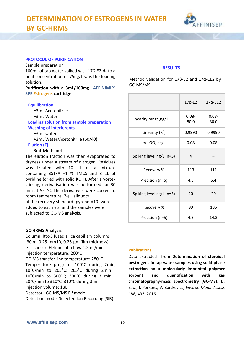

#### **PROTOCOL OF PURIFICATION**

Sample preparation

100mL of tap water spiked with  $17$ ß-E2-d<sub>2</sub> to a final concentration of 75ng/L was the loading solution.

**Purification with a 3mL/100mg AFFINIMIP® SPE Estrogens cartridge**

#### **Equilibration**

- •3mL Acetonitrile
- •3mL Water

**Loading solution from sample preparation Washing of interferents**

#### •3mL water

•3mL Water/Acetonitrile (60/40)

#### **Elution (E)**

3mL Methanol

The elution fraction was then evaporated to dryness under a stream of nitrogen. Residues was treated with 10 μL of a mixture containing BSTFA +1 % TMCS and 8 μL of pyridine (dried with solid KOH). After a vortex stirring, derivatisation was performed for 30 min at 55 °C. The derivatives were cooled to room temperature, 2-μL aliquots of the recovery standard (pyrene-d10) were added to each vial and the samples were subjected to GC-MS analysis.

#### **GC-HRMS Analysis**

Column: Rtx-5 fused silica capillary columns (30 m, 0.25-mm ID, 0.25-μm film thickness) Gas carrier: Helium at a flow 1.2mL/min Injection temperature: 260°C GC-MS transfer line temperature: 280°C Temperature program: 100°C during 2min; 10°C/min to 265°C; 265°C during 2min ; 10°C/min to 300°C; 300°C during 3 min ; 20°C/min to 310°C; 310°C during 3min Injection volume: 1µL Detector: GC-MS/MS EI<sup>+</sup> mode Detection mode: Selected Ion Recording (SIR)

#### **RESULTS**

Method validation for 17β-E2 and 17α-EE2 by GC-MS/MS

|                          | $17\beta$ -E2    | $17\alpha$ -EE2  |
|--------------------------|------------------|------------------|
| Linearity range, ng/L    | $0.08 -$<br>80.0 | $0.08 -$<br>80.0 |
| Linearity $(R^2)$        | 0.9990           | 0.9990           |
| m-LOQ, ng/L              | 0.08             | 0.08             |
| Spiking level ng/L (n=5) | 4                | 4                |
| Recovery %               | 113              | 111              |
| Precision (n=5)          | 4.6              | 5.4              |
| Spiking level ng/L (n=5) | 20               | 20               |
| Recovery %               | 99               | 106              |
| Precision (n=5)          | 4.3              | 14.3             |

#### **Publications**

Data extracted from **Determination of steroidal oestrogens in tap water samples using solid-phase extraction on a molecularly imprinted polymer sorbent and quantification with gas chromatography-mass spectrometry (GC-MS)**, D. Zacs, I. Perkons, V. Bartkevics, *Environ Monit Assess* 188, 433, 2016.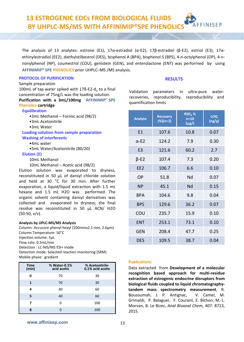**13 ESTROGENIC EDCs FROM BIOLOGICAL FLUIDS** INISEP **BY UHPLC-MS/MS WITH AFFINIMIP®SPE PHENOLI** 

The analysis of 13 analytes: estrone (E1), 17α-estradiol (α-E2), 17β-estradiol (β-E2), estriol (E3), 17αethinylestradiol (EE2), diethylstilbestrol (DES), bisphenol A (BPA), bisphenol S (BPS), 4-n-octylphenol (OP), 4-nnonylphenol (NP), coumestrol (COU), genistein (GEN), and enterolactone (ENT) was performed by using **AFFINIMIP® SPE PHENOLICS** prior UHPLC–MS /MS analysis.

#### **PROTOCOL OF PURIFICATION RESULTS**

#### Sample preparation

100mL of tap water spiked with 17ß-E2-d<sub>2</sub> to a final concentration of 75ng/L was the loading solution. **Purification with a 3mL/100mg AFFINIMIP® SPE Phenolics cartridge**

#### **Equilibration**

- •3mL Methanol Formic acid (98/2)
- •3mL Acetonitrile
- •3mL Water

#### **Loading solution from sample preparation Washing of interferents**

- •4mL water
- •5mL Water/Acetonitrile (80/20)
- **Elution (E)**
	- 10mL Methanol
	- 10mL Methanol Acetic acid (98/2)

Elution solution was evaporated to dryness, reconstituted in 50 μL of dansyl chloride solution and held at 30 °C for 30 min. After further evaporation, a liquid/liquid extraction with 1.5 mL hexane and 1.5 mL H2O was performed. The organic solvent containing dansyl derivatives was collected and evaporated to dryness; the final residue was reconstituted in 50 μL ACN/ H2O (50:50, v/v).

#### **Analysis by UPLC-MS/MS Analysis**

Column: Accucore phenyl-hexyl (100mmx2.1 mm, 2.6µm) Column Temperature: 50°C Injection volume: 5µL Flow rate: 0.5mL/min Detection : LC-MS/MS ESI+ mode Detection mode: Selected reaction monitoring (SRM) Mobile phase: gradient

| <b>Time</b><br>(min) | % Water-0.1%<br>acid acetic | % Acetonitrile-<br>0.1% acid acetic |
|----------------------|-----------------------------|-------------------------------------|
| 0                    | 70                          | 30                                  |
| 1                    | 70                          | 30                                  |
| Δ                    | 40                          | 60                                  |
| 5                    | 40                          | 60                                  |
| 7                    | ŋ                           | 100                                 |
| 8                    |                             | 100                                 |

Validation parameters in ultra-pure water: recoveries, reproducibility, reproducibility and quantification limits

| <b>Analyte</b>  | <b>Recovery</b><br>$(\%)(n=2)$ | $RSD_R$ %<br>$n=10$<br>$1\mu$ g/L | LOQ<br>(ng/g) |
|-----------------|--------------------------------|-----------------------------------|---------------|
| E1              | 107.6                          | 10.8                              | 0.07          |
| $\alpha$ -E2    | 124.2                          | 7.9                               | 0.30          |
| E <sub>3</sub>  | 121.6                          | 60.2                              | 2.7           |
| $\beta$ -E2     | 107.4                          | 7.3                               | 0.20          |
| FF <sub>2</sub> | 106.7                          | 6.6                               | 0.10          |
| OP              | 51.8                           | Nd                                | 0.07          |
| <b>NP</b>       | 45.1                           | Nd                                | 0.15          |
| <b>BPA</b>      | 104.6                          | 9.8                               | 0.04          |
| <b>BPS</b>      | 129.6                          | 36.2                              | 0.07          |
| COU             | 235.7                          | 15.9                              | 0.10          |
| <b>FNT</b>      | 253.1                          | 73.1                              | 0.10          |
| <b>GEN</b>      | 208.4                          | 47.7                              | 0.25          |
| <b>DES</b>      | 109.5                          | 38.7                              | 0.04          |

#### **Publications**

Data extracted from **Development of a molecular recognition based approach for multi-residue extraction of estrogenic endocrine disruptors from biological fluids coupled to liquid chromatographytandem mass spectrometry measurement**, R. Bousoumah, J. P. Antignac, V. Camel, M. Grimaldi, P. Balaguer, F. Courant, E. Bichon, M.-L. Morvan, B. Le Bizec, *Anal Bioanal Chem*, 407: 8713, 2015.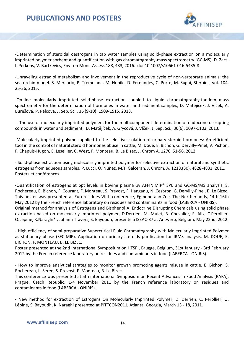

-Determination of steroidal oestrogens in tap water samples using solid-phase extraction on a molecularly imprinted polymer sorbent and quantification with gas chromatography-mass spectrometry (GC-MS), D. Zacs, I. Perkons, V. Bartkevics, Environ Monit Assess 188, 433, 2016. doi:10.1007/s10661-016-5435-8

-Unraveling estradiol metabolism and involvement in the reproductive cycle of non-vertebrate animals: the sea urchin model. S. Mercurio, P. Tremolada, M. Nobile, D. Fernandes, C. Porte, M. Sugni, Steroids, vol. 104, 25-36, 2015.

-On-line molecularly imprinted solid-phase extraction coupled to liquid chromatography-tandem mass spectrometry for the determination of hormones in water and sediment samples, D. Matějíček, J. Vlček, A. Burešová, P. Pelcová, J. Sep. Sci., 36 (9-10), 1509-1515, 2013.

-- The use of molecularly imprinted polymers for the multicomponent determination of endocrine-disrupting compounds in water and sediment, D. Matějíček, A. Grycová, J. Vlček, J. Sep. Sci., 36(6), 1097-1103, 2013.

-Molecularly imprinted polymer applied to the selective isolation of urinary steroid hormones: An efficient tool in the control of natural steroid hormones abuse in cattle, M. Doué, E. Bichon, G. Dervilly-Pinel, V. Pichon, F. Chapuis-Hugon, E. Lesellier, C. West, F. Monteau, B. Le Bizec, J. Chrom A, 1270, 51-56, 2012.

- Solid-phase extraction using molecularly imprinted polymer for selective extraction of natural and synthetic estrogens from aqueous samples, P. Lucci, O. Núñez, M.T. Galceran, J. Chrom. A, 1218,(30), 4828-4833, 2011. Posters et conférences

-Quantification of estrogens at ppt levels in bovine plasma by AFFINIMIP® SPE and GC-MS/MS analysis, S. Rochereau, E. Bichon, F. Courant, F. Monteau, S. Prévost, F. Hanganu, N. Cesbron, G. Dervilly-Pinel, B. Le Bizec. This poster was presented at Euroresidues VIIth conference, Egmond aan Zee, The Nertherlands, 14th-16th May 2012 by the French reference laboratory on residues and contaminants in food (LABERCA - ONIRIS). Original method for analysis of Estrogens and Bisphenol A, Endocrine Disrupting Chemicals using solid phase extraction based on molecularly imprinted polymer, D.Derrien, M. Mulet, B. Chevalier, F. Alix, C.Pérollier, O.Lépine, K.Naraghi\* , Johann Travers, S. Bayoudh, présenté à ISEAC-37 at Antwerp, Belgium, May 22nd, 2012.

- High efficiency of semi-preparative Supercritical Fluid Chromatography with Molecularly Imprinted Polymer as stationary phase (SFC-MIP). Application on urinary steroids purification for IRMS analysis, M. DOUE, E. BICHON, F. MONTEAU, B. LE BIZEC.

Poster presented at the 2nd International Symposium on HTSP , Brugge, Belgium, 31st January - 3rd February 2012 by the French reference laboratory on residues and contaminants in food (LABERCA - ONIRIS).

- How to improve analytical strategies to monitor growth promoting agents misuse in cattle, E. Bichon, S. Rochereau, L. Sérée, S. Prevost, F. Monteau, B. Le Bizec.

This conference was presented at 5th international Symposium on Recent Advances in Food Analysis (RAFA), Prague, Czech Republic, 1-4 November 2011 by the French reference laboratory on residues and contaminants in food (LABERCA - ONIRIS).

- New method for extraction of Estrogens On Molecularly Imprinted Polymer, D. Derrien, C. Pérollier, O. Lépine, S. Bayoudh, K. Naraghi presented at PITTCON2011, Atlanta, Georgia, March 13 - 18, 2011.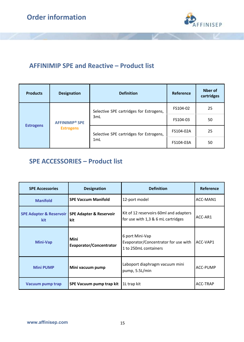

# **AFFINIMIP SPE and Reactive – Product list**

| <b>Products</b>  | <b>Designation</b>               | <b>Definition</b>                       | Reference | Nber of<br>cartridges |
|------------------|----------------------------------|-----------------------------------------|-----------|-----------------------|
|                  |                                  | Selective SPE cartridges for Estrogens, | FS104-02  | 25<br>50<br>25<br>50  |
|                  | <b>AFFINIMIP<sup>®</sup> SPE</b> | 3mL                                     | FS104-03  |                       |
| <b>Estrogens</b> | <b>Estrogens</b>                 | Selective SPE cartridges for Estrogens, | FS104-02A |                       |
|                  |                                  | 1mL                                     | FS104-03A |                       |

# **SPE ACCESSORIES – Product list**

| <b>SPE Accessories</b> | <b>Designation</b>                                     | <b>Definition</b>                                                                | Reference |
|------------------------|--------------------------------------------------------|----------------------------------------------------------------------------------|-----------|
| <b>Manifold</b>        | <b>SPE Vaccum Manifold</b>                             | 12-port model                                                                    | ACC-MAN1  |
| kit                    | SPE Adapter & Reservoir SPE Adapter & Reservoir<br>kit | Kit of 12 reservoirs 60ml and adapters<br>for use with 1,3 & 6 mL cartridges     | ACC-AR1   |
| Mini-Vap               | Mini<br>Evaporator/Concentrator                        | 6 port Mini-Vap<br>Evaporator/Concentrator for use with<br>1 to 250mL containers | ACC-VAP1  |
| <b>Mini PUMP</b>       | Mini vacuum pump                                       | Laboport diaphragm vacuum mini<br>pump, 5.5L/min                                 | ACC-PUMP  |
| Vacuum pump trap       | SPE Vacuum pump trap kit                               | 1L trap kit                                                                      | ACC-TRAP  |